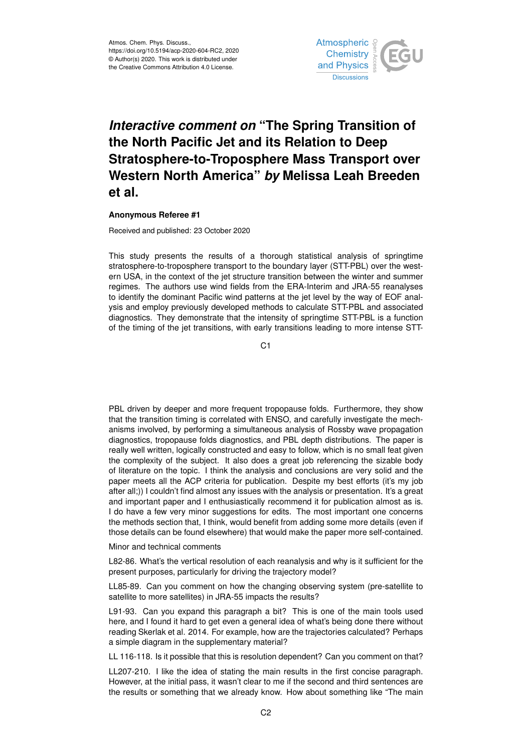

## *Interactive comment on* **"The Spring Transition of the North Pacific Jet and its Relation to Deep Stratosphere-to-Troposphere Mass Transport over Western North America"** *by* **Melissa Leah Breeden et al.**

## **Anonymous Referee #1**

Received and published: 23 October 2020

This study presents the results of a thorough statistical analysis of springtime stratosphere-to-troposphere transport to the boundary layer (STT-PBL) over the western USA, in the context of the jet structure transition between the winter and summer regimes. The authors use wind fields from the ERA-Interim and JRA-55 reanalyses to identify the dominant Pacific wind patterns at the jet level by the way of EOF analysis and employ previously developed methods to calculate STT-PBL and associated diagnostics. They demonstrate that the intensity of springtime STT-PBL is a function of the timing of the jet transitions, with early transitions leading to more intense STT-

C1

PBL driven by deeper and more frequent tropopause folds. Furthermore, they show that the transition timing is correlated with ENSO, and carefully investigate the mechanisms involved, by performing a simultaneous analysis of Rossby wave propagation diagnostics, tropopause folds diagnostics, and PBL depth distributions. The paper is really well written, logically constructed and easy to follow, which is no small feat given the complexity of the subject. It also does a great job referencing the sizable body of literature on the topic. I think the analysis and conclusions are very solid and the paper meets all the ACP criteria for publication. Despite my best efforts (it's my job after all;)) I couldn't find almost any issues with the analysis or presentation. It's a great and important paper and I enthusiastically recommend it for publication almost as is. I do have a few very minor suggestions for edits. The most important one concerns the methods section that, I think, would benefit from adding some more details (even if those details can be found elsewhere) that would make the paper more self-contained.

Minor and technical comments

L82-86. What's the vertical resolution of each reanalysis and why is it sufficient for the present purposes, particularly for driving the trajectory model?

LL85-89. Can you comment on how the changing observing system (pre-satellite to satellite to more satellites) in JRA-55 impacts the results?

L91-93. Can you expand this paragraph a bit? This is one of the main tools used here, and I found it hard to get even a general idea of what's being done there without reading Skerlak et al. 2014. For example, how are the trajectories calculated? Perhaps a simple diagram in the supplementary material?

LL 116-118. Is it possible that this is resolution dependent? Can you comment on that?

LL207-210. I like the idea of stating the main results in the first concise paragraph. However, at the initial pass, it wasn't clear to me if the second and third sentences are the results or something that we already know. How about something like "The main